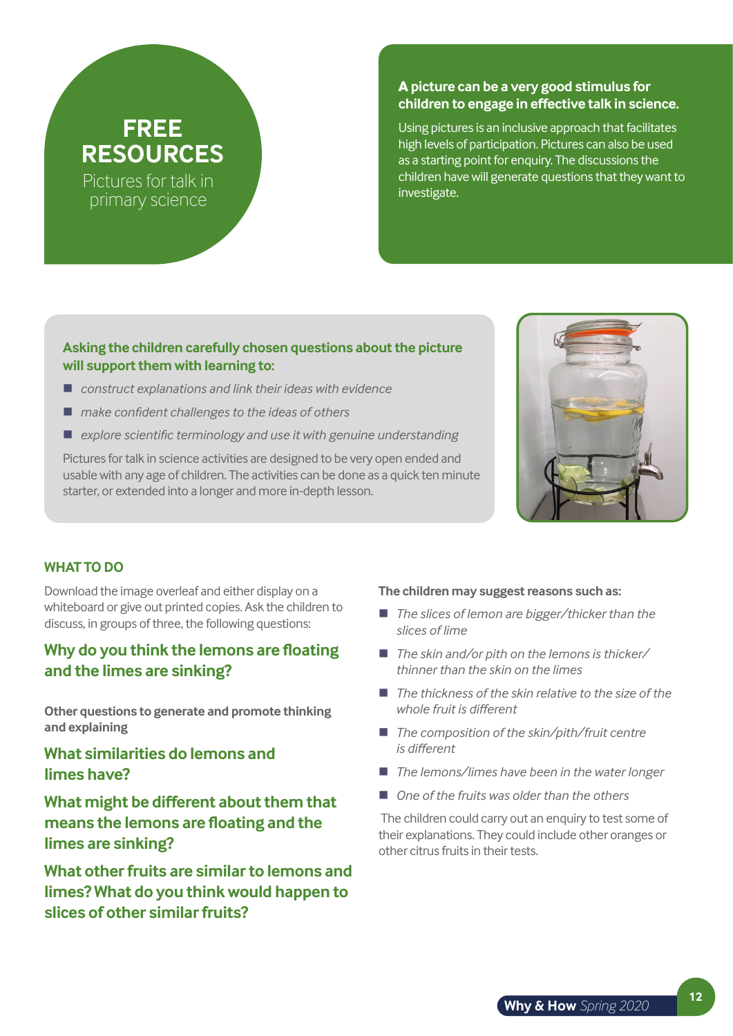# **FREE RESOURCES**

Pictures for talk in primary science

### **A picture can be a very good stimulus for children to engage in effective talk in science.**

Using pictures is an inclusive approach that facilitates high levels of participation. Pictures can also be used as a starting point for enquiry. The discussions the children have will generate questions that they want to investigate.

#### **Asking the children carefully chosen questions about the picture will support them with learning to:**

- *construct explanations and link their ideas with evidence*
- *make confident challenges to the ideas of others*
- *explore scientific terminology and use it with genuine understanding*

Pictures for talk in science activities are designed to be very open ended and usable with any age of children. The activities can be done as a quick ten minute starter, or extended into a longer and more in-depth lesson.



#### **WHAT TO DO**

Download the image overleaf and either display on a whiteboard or give out printed copies. Ask the children to discuss, in groups of three, the following questions:

## **Why do you think the lemons are floating and the limes are sinking?**

**Other questions to generate and promote thinking and explaining**

## **What similarities do lemons and limes have?**

**What might be different about them that means the lemons are floating and the limes are sinking?**

**What other fruits are similar to lemons and limes? What do you think would happen to slices of other similar fruits?**

#### **The children may suggest reasons such as:**

- *The slices of lemon are bigger/thicker than the slices of lime*
- *The skin and/or pith on the lemons is thicker/ thinner than the skin on the limes*
- The thickness of the skin relative to the size of the *whole fruit is different*
- *The composition of the skin/pith/fruit centre is different*
- *The lemons/limes have been in the water longer*
- One of the fruits was older than the others

 The children could carry out an enquiry to test some of their explanations. They could include other oranges or other citrus fruits in their tests.